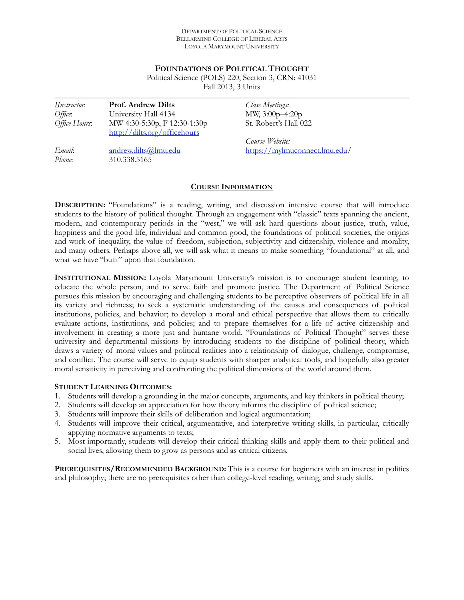#### DEPARTMENT OF POLITICAL SCIENCE BELLARMINE COLLEGE OF LIBERAL ARTS LOYOLA MARYMOUNT UNIVERSITY

#### **FOUNDATIONS OF POLITICAL THOUGHT**

Political Science (POLS) 220, Section 3, CRN: 41031 Fall 2013, 3 Units

| <i>Hnstructor</i> . | <b>Prof. Andrew Dilts</b>    | <b>Class Meetings:</b>        |
|---------------------|------------------------------|-------------------------------|
| Office:             | University Hall 4134         | MW, 3:00p-4:20p               |
| Office Hours:       | MW 4:30-5:30p, F 12:30-1:30p | St. Robert's Hall 022         |
|                     | http://dilts.org/officehours |                               |
|                     |                              | Course Website:               |
| Email:              | andrew.dilts@lmu.edu         | https://mylmuconnect.lmu.edu/ |
| Phone:              | 310.338.5165                 |                               |

## **COURSE INFORMATION**

**DESCRIPTION:** "Foundations" is a reading, writing, and discussion intensive course that will introduce students to the history of political thought. Through an engagement with "classic" texts spanning the ancient, modern, and contemporary periods in the "west," we will ask hard questions about justice, truth, value, happiness and the good life, individual and common good, the foundations of political societies, the origins and work of inequality, the value of freedom, subjection, subjectivity and citizenship, violence and morality, and many others. Perhaps above all, we will ask what it means to make something "foundational" at all, and what we have "built" upon that foundation.

**INSTITUTIONAL MISSION:** Loyola Marymount University's mission is to encourage student learning, to educate the whole person, and to serve faith and promote justice. The Department of Political Science pursues this mission by encouraging and challenging students to be perceptive observers of political life in all its variety and richness; to seek a systematic understanding of the causes and consequences of political institutions, policies, and behavior; to develop a moral and ethical perspective that allows them to critically evaluate actions, institutions, and policies; and to prepare themselves for a life of active citizenship and involvement in creating a more just and humane world. "Foundations of Political Thought" serves these university and departmental missions by introducing students to the discipline of political theory, which draws a variety of moral values and political realities into a relationship of dialogue, challenge, compromise, and conflict. The course will serve to equip students with sharper analytical tools, and hopefully also greater moral sensitivity in perceiving and confronting the political dimensions of the world around them.

#### **STUDENT LEARNING OUTCOMES:**

- 1. Students will develop a grounding in the major concepts, arguments, and key thinkers in political theory;
- 2. Students will develop an appreciation for how theory informs the discipline of political science;
- 3. Students will improve their skills of deliberation and logical argumentation;
- 4. Students will improve their critical, argumentative, and interpretive writing skills, in particular, critically applying normative arguments to texts;
- 5. Most importantly, students will develop their critical thinking skills and apply them to their political and social lives, allowing them to grow as persons and as critical citizens.

**PREREQUISITES/RECOMMENDED BACKGROUND:** This is a course for beginners with an interest in politics and philosophy; there are no prerequisites other than college-level reading, writing, and study skills.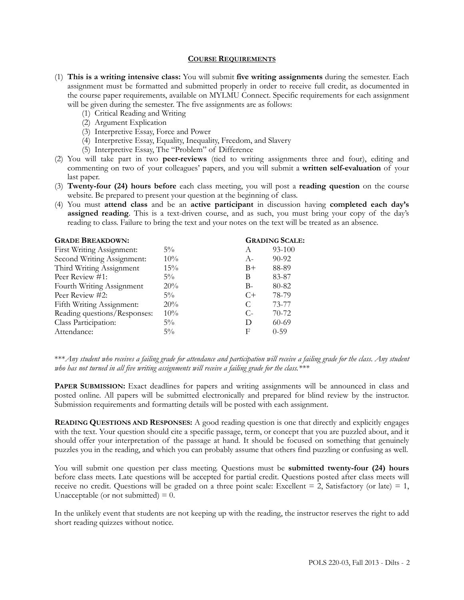#### **COURSE REQUIREMENTS**

- (1) **This is a writing intensive class:** You will submit **five writing assignments** during the semester. Each assignment must be formatted and submitted properly in order to receive full credit, as documented in the course paper requirements, available on MYLMU Connect. Specific requirements for each assignment will be given during the semester. The five assignments are as follows:
	- (1) Critical Reading and Writing
	- (2) Argument Explication
	- (3) Interpretive Essay, Force and Power
	- (4) Interpretive Essay, Equality, Inequality, Freedom, and Slavery
	- (5) Interpretive Essay, The "Problem" of Difference
- (2) You will take part in two **peer-reviews** (tied to writing assignments three and four), editing and commenting on two of your colleagues' papers, and you will submit a **written self-evaluation** of your last paper.
- (3) **Twenty-four (24) hours before** each class meeting, you will post a **reading question** on the course website. Be prepared to present your question at the beginning of class.
- (4) You must **attend class** and be an **active participant** in discussion having **completed each day's assigned reading**. This is a text-driven course, and as such, you must bring your copy of the day's reading to class. Failure to bring the text and your notes on the text will be treated as an absence.

| <b>GRADE BREAKDOWN:</b>      |        | <b>GRADING SCALE:</b> |           |
|------------------------------|--------|-----------------------|-----------|
| First Writing Assignment:    | $5\%$  | A                     | 93-100    |
| Second Writing Assignment:   | $10\%$ | $A-$                  | $90 - 92$ |
| Third Writing Assignment     | $15\%$ | $B+$                  | 88-89     |
| Peer Review #1:              | $5\%$  | В                     | 83-87     |
| Fourth Writing Assignment    | 20%    | $B -$                 | 80-82     |
| Peer Review #2:              | $5\%$  | $C+$                  | 78-79     |
| Fifth Writing Assignment:    | 20%    | C                     | 73-77     |
| Reading questions/Responses: | $10\%$ | $C$ -                 | $70 - 72$ |
| Class Participation:         | $5\%$  | D                     | $60-69$   |
| Attendance:                  | $5\%$  | F                     | $0 - 59$  |
|                              |        |                       |           |

\*\*\**Any student who receives a failing grade for attendance and participation will receive a failing grade for the class*. *Any student who has not turned in all five writing assignments will receive a failing grade for the class.\*\*\**

**PAPER SUBMISSION:** Exact deadlines for papers and writing assignments will be announced in class and posted online. All papers will be submitted electronically and prepared for blind review by the instructor. Submission requirements and formatting details will be posted with each assignment.

**READING QUESTIONS AND RESPONSES:** A good reading question is one that directly and explicitly engages with the text. Your question should cite a specific passage, term, or concept that you are puzzled about, and it should offer your interpretation of the passage at hand. It should be focused on something that genuinely puzzles you in the reading, and which you can probably assume that others find puzzling or confusing as well.

You will submit one question per class meeting. Questions must be **submitted twenty-four (24) hours**  before class meets. Late questions will be accepted for partial credit. Questions posted after class meets will receive no credit. Questions will be graded on a three point scale: Excellent  $= 2$ , Satisfactory (or late)  $= 1$ , Unacceptable (or not submitted)  $= 0$ .

In the unlikely event that students are not keeping up with the reading, the instructor reserves the right to add short reading quizzes without notice.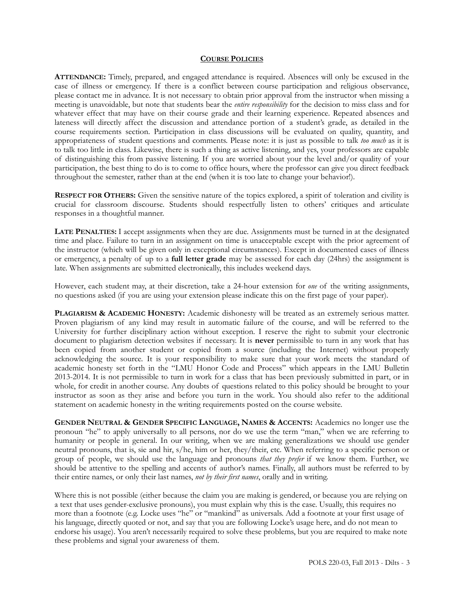#### **COURSE POLICIES**

**ATTENDANCE:** Timely, prepared, and engaged attendance is required. Absences will only be excused in the case of illness or emergency. If there is a conflict between course participation and religious observance, please contact me in advance. It is not necessary to obtain prior approval from the instructor when missing a meeting is unavoidable, but note that students bear the *entire responsibility* for the decision to miss class and for whatever effect that may have on their course grade and their learning experience. Repeated absences and lateness will directly affect the discussion and attendance portion of a student's grade, as detailed in the course requirements section. Participation in class discussions will be evaluated on quality, quantity, and appropriateness of student questions and comments. Please note: it is just as possible to talk *too much* as it is to talk too little in class. Likewise, there is such a thing as active listening, and yes, your professors are capable of distinguishing this from passive listening. If you are worried about your the level and/or quality of your participation, the best thing to do is to come to office hours, where the professor can give you direct feedback throughout the semester, rather than at the end (when it is too late to change your behavior!).

**RESPECT FOR OTHERS:** Given the sensitive nature of the topics explored, a spirit of toleration and civility is crucial for classroom discourse. Students should respectfully listen to others' critiques and articulate responses in a thoughtful manner.

**LATE PENALTIES:** I accept assignments when they are due. Assignments must be turned in at the designated time and place. Failure to turn in an assignment on time is unacceptable except with the prior agreement of the instructor (which will be given only in exceptional circumstances). Except in documented cases of illness or emergency, a penalty of up to a **full letter grade** may be assessed for each day (24hrs) the assignment is late. When assignments are submitted electronically, this includes weekend days.

However, each student may, at their discretion, take a 24-hour extension for *one* of the writing assignments, no questions asked (if you are using your extension please indicate this on the first page of your paper).

**PLAGIARISM & ACADEMIC HONESTY:** Academic dishonesty will be treated as an extremely serious matter. Proven plagiarism of any kind may result in automatic failure of the course, and will be referred to the University for further disciplinary action without exception. I reserve the right to submit your electronic document to plagiarism detection websites if necessary. It is **never** permissible to turn in any work that has been copied from another student or copied from a source (including the Internet) without properly acknowledging the source. It is your responsibility to make sure that your work meets the standard of academic honesty set forth in the "LMU Honor Code and Process" which appears in the LMU Bulletin 2013-2014. It is not permissible to turn in work for a class that has been previously submitted in part, or in whole, for credit in another course. Any doubts of questions related to this policy should be brought to your instructor as soon as they arise and before you turn in the work. You should also refer to the additional statement on academic honesty in the writing requirements posted on the course website.

**GENDER NEUTRAL & GENDER SPECIFIC LANGUAGE, NAMES & ACCENTS:** Academics no longer use the pronoun "he" to apply universally to all persons, nor do we use the term "man," when we are referring to humanity or people in general. In our writing, when we are making generalizations we should use gender neutral pronouns, that is, sie and hir, s/he, him or her, they/their, etc. When referring to a specific person or group of people, we should use the language and pronouns *that they prefer* if we know them. Further, we should be attentive to the spelling and accents of author's names. Finally, all authors must be referred to by their entire names, or only their last names, *not by their first names*, orally and in writing.

Where this is not possible (either because the claim you are making is gendered, or because you are relying on a text that uses gender-exclusive pronouns), you must explain why this is the case. Usually, this requires no more than a footnote (e.g. Locke uses "he" or "mankind" as universals. Add a footnote at your first usage of his language, directly quoted or not, and say that you are following Locke's usage here, and do not mean to endorse his usage). You aren't necessarily required to solve these problems, but you are required to make note these problems and signal your awareness of them.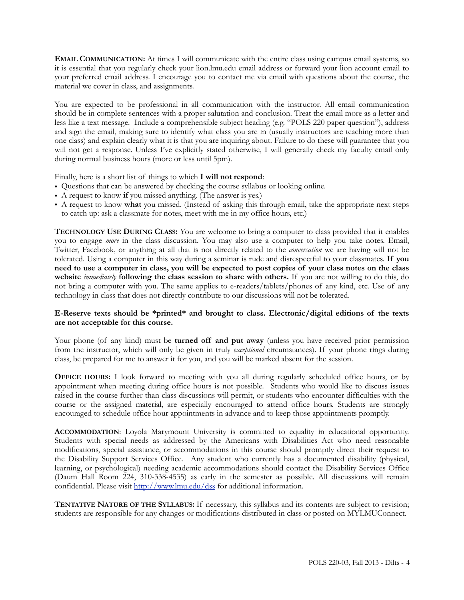**EMAIL COMMUNICATION:** At times I will communicate with the entire class using campus email systems, so it is essential that you regularly check your lion.lmu.edu email address or forward your lion account email to your preferred email address. I encourage you to contact me via email with questions about the course, the material we cover in class, and assignments.

You are expected to be professional in all communication with the instructor. All email communication should be in complete sentences with a proper salutation and conclusion. Treat the email more as a letter and less like a text message. Include a comprehensible subject heading (e.g. "POLS 220 paper question"), address and sign the email, making sure to identify what class you are in (usually instructors are teaching more than one class) and explain clearly what it is that you are inquiring about. Failure to do these will guarantee that you will not get a response. Unless I've explicitly stated otherwise, I will generally check my faculty email only during normal business hours (more or less until 5pm).

Finally, here is a short list of things to which **I will not respond**:

- Questions that can be answered by checking the course syllabus or looking online.
- A request to know **if** you missed anything. (The answer is yes.)
- A request to know **what** you missed. (Instead of asking this through email, take the appropriate next steps to catch up: ask a classmate for notes, meet with me in my office hours, etc.)

**TECHNOLOGY USE DURING CLASS:** You are welcome to bring a computer to class provided that it enables you to engage *more* in the class discussion. You may also use a computer to help you take notes. Email, Twitter, Facebook, or anything at all that is not directly related to the *conversation* we are having will not be tolerated. Using a computer in this way during a seminar is rude and disrespectful to your classmates. **If you need to use a computer in class, you will be expected to post copies of your class notes on the class website** *immediately* **following the class session to share with others.** If you are not willing to do this, do not bring a computer with you. The same applies to e-readers/tablets/phones of any kind, etc. Use of any technology in class that does not directly contribute to our discussions will not be tolerated.

### **E-Reserve texts should be \*printed\* and brought to class. Electronic/digital editions of the texts are not acceptable for this course.**

Your phone (of any kind) must be **turned off and put away** (unless you have received prior permission from the instructor, which will only be given in truly *exceptional* circumstances). If your phone rings during class, be prepared for me to answer it for you, and you will be marked absent for the session.

**OFFICE HOURS:** I look forward to meeting with you all during regularly scheduled office hours, or by appointment when meeting during office hours is not possible. Students who would like to discuss issues raised in the course further than class discussions will permit, or students who encounter difficulties with the course or the assigned material, are especially encouraged to attend office hours. Students are strongly encouraged to schedule office hour appointments in advance and to keep those appointments promptly.

**ACCOMMODATION**: Loyola Marymount University is committed to equality in educational opportunity. Students with special needs as addressed by the Americans with Disabilities Act who need reasonable modifications, special assistance, or accommodations in this course should promptly direct their request to the Disability Support Services Office. Any student who currently has a documented disability (physical, learning, or psychological) needing academic accommodations should contact the Disability Services Office (Daum Hall Room 224, 310-338-4535) as early in the semester as possible. All discussions will remain confidential. Please visit <http://www.lmu.edu/dss> for additional information.

**TENTATIVE NATURE OF THE SYLLABUS:** If necessary, this syllabus and its contents are subject to revision; students are responsible for any changes or modifications distributed in class or posted on MYLMUConnect.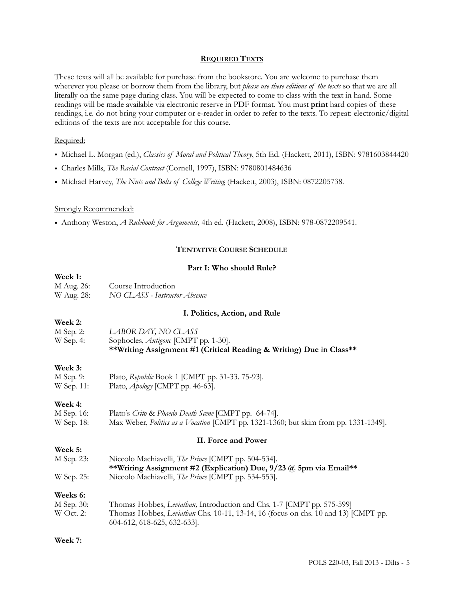#### **REQUIRED TEXTS**

These texts will all be available for purchase from the bookstore. You are welcome to purchase them wherever you please or borrow them from the library, but *please use these editions of the texts* so that we are all literally on the same page during class. You will be expected to come to class with the text in hand. Some readings will be made available via electronic reserve in PDF format. You must **print** hard copies of these readings, i.e. do not bring your computer or e-reader in order to refer to the texts. To repeat: electronic/digital editions of the texts are not acceptable for this course.

#### Required:

- Michael L. Morgan (ed.), *Classics of Moral and Political Theory*, 5th Ed. (Hackett, 2011), ISBN: 9781603844420
- Charles Mills, *The Racial Contract* (Cornell, 1997), ISBN: 9780801484636
- Michael Harvey, *The Nuts and Bolts of College Writing* (Hackett, 2003), ISBN: 0872205738.

#### Strongly Recommended:

• Anthony Weston, *A Rulebook for Arguments*, 4th ed. (Hackett, 2008), ISBN: 978-0872209541.

### **TENTATIVE COURSE SCHEDULE**

#### **Part I: Who should Rule?**

| Week 1:     |                                                                                                                          |  |  |
|-------------|--------------------------------------------------------------------------------------------------------------------------|--|--|
| M Aug. 26:  | Course Introduction                                                                                                      |  |  |
| W Aug. 28:  | NO CLASS - Instructor Absence                                                                                            |  |  |
|             | I. Politics, Action, and Rule                                                                                            |  |  |
| Week 2:     |                                                                                                                          |  |  |
| M Sep. 2:   | LABOR DAY, NO CLASS                                                                                                      |  |  |
| W Sep. 4:   | Sophocles, Antigone [CMPT pp. 1-30].<br>**Writing Assignment #1 (Critical Reading & Writing) Due in Class**              |  |  |
|             |                                                                                                                          |  |  |
| Week 3:     |                                                                                                                          |  |  |
| M Sep. 9:   | Plato, Republic Book 1 [CMPT pp. 31-33. 75-93].                                                                          |  |  |
| W Sep. 11:  | Plato, Apology [CMPT pp. 46-63].                                                                                         |  |  |
| Week 4:     |                                                                                                                          |  |  |
| M Sep. 16:  | Plato's Crito & Phaedo Death Scene [CMPT pp. 64-74].                                                                     |  |  |
| W Sep. 18:  | Max Weber, Politics as a Vocation [CMPT pp. 1321-1360; but skim from pp. 1331-1349].                                     |  |  |
|             | II. Force and Power                                                                                                      |  |  |
| Week 5:     |                                                                                                                          |  |  |
| M Sep. 23:  | Niccolo Machiavelli, The Prince [CMPT pp. 504-534].<br>**Writing Assignment #2 (Explication) Due, 9/23 @ 5pm via Email** |  |  |
| W Sep. 25:  | Niccolo Machiavelli, The Prince [CMPT pp. 534-553].                                                                      |  |  |
| Weeks 6:    |                                                                                                                          |  |  |
| M Sep. 30:  | Thomas Hobbes, Leviathan, Introduction and Chs. 1-7 [CMPT pp. 575-599]                                                   |  |  |
| $W$ Oct. 2: | Thomas Hobbes, Leviathan Chs. 10-11, 13-14, 16 (focus on chs. 10 and 13) [CMPT pp.<br>604-612, 618-625, 632-633].        |  |  |
|             |                                                                                                                          |  |  |